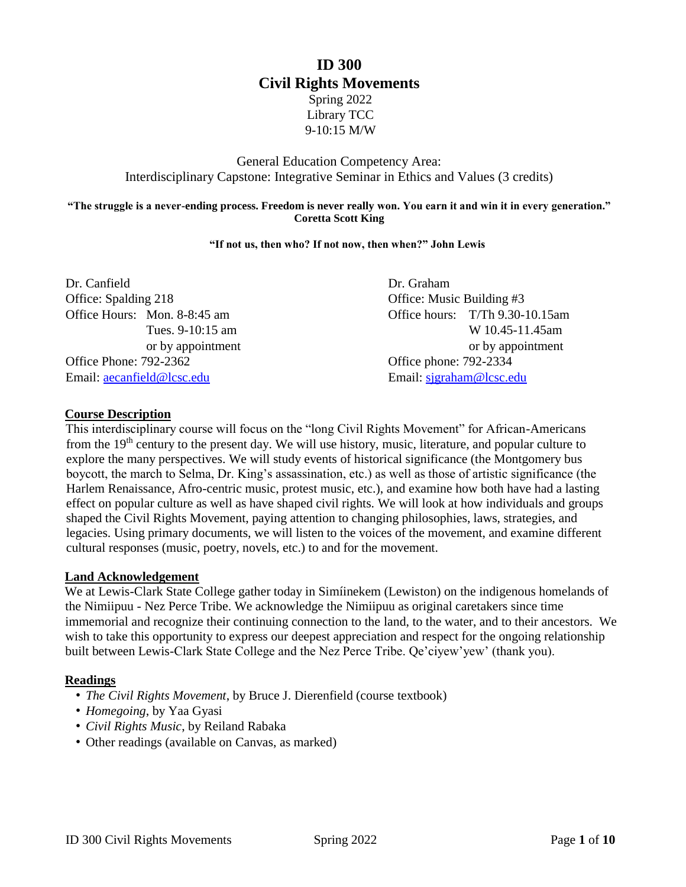# **ID 300 Civil Rights Movements** Spring 2022 Library TCC 9-10:15 M/W

## General Education Competency Area: Interdisciplinary Capstone: Integrative Seminar in Ethics and Values (3 credits)

#### **"The struggle is a never-ending process. Freedom is never really won. You earn it and win it in every generation." Coretta Scott King**

#### **"If not us, then who? If not now, then when?" John Lewis**

| Dr. Canfield                  | Dr. Graham                      |
|-------------------------------|---------------------------------|
| Office: Spalding 218          | Office: Music Building #3       |
| Office Hours: Mon. 8-8:45 am  | Office hours: T/Th 9.30-10.15am |
| Tues. 9-10:15 am              | W 10.45-11.45am                 |
| or by appointment             | or by appointment               |
| <b>Office Phone: 792-2362</b> | Office phone: 792-2334          |
| Email: aecanfield@lcsc.edu    | Email: sigraham@lcsc.edu        |

#### **Course Description**

This interdisciplinary course will focus on the "long Civil Rights Movement" for African-Americans from the 19<sup>th</sup> century to the present day. We will use history, music, literature, and popular culture to explore the many perspectives. We will study events of historical significance (the Montgomery bus boycott, the march to Selma, Dr. King's assassination, etc.) as well as those of artistic significance (the Harlem Renaissance, Afro-centric music, protest music, etc.), and examine how both have had a lasting effect on popular culture as well as have shaped civil rights. We will look at how individuals and groups shaped the Civil Rights Movement, paying attention to changing philosophies, laws, strategies, and legacies. Using primary documents, we will listen to the voices of the movement, and examine different cultural responses (music, poetry, novels, etc.) to and for the movement.

#### **Land Acknowledgement**

We at Lewis-Clark State College gather today in Simíinekem (Lewiston) on the indigenous homelands of the Nimiipuu - Nez Perce Tribe. We acknowledge the Nimiipuu as original caretakers since time immemorial and recognize their continuing connection to the land, to the water, and to their ancestors. We wish to take this opportunity to express our deepest appreciation and respect for the ongoing relationship built between Lewis-Clark State College and the Nez Perce Tribe. Qe'ciyew'yew' (thank you).

#### **Readings**

- *The Civil Rights Movement*, by Bruce J. Dierenfield (course textbook)
- *Homegoing*, by Yaa Gyasi
- *Civil Rights Music*, by Reiland Rabaka
- Other readings (available on Canvas, as marked)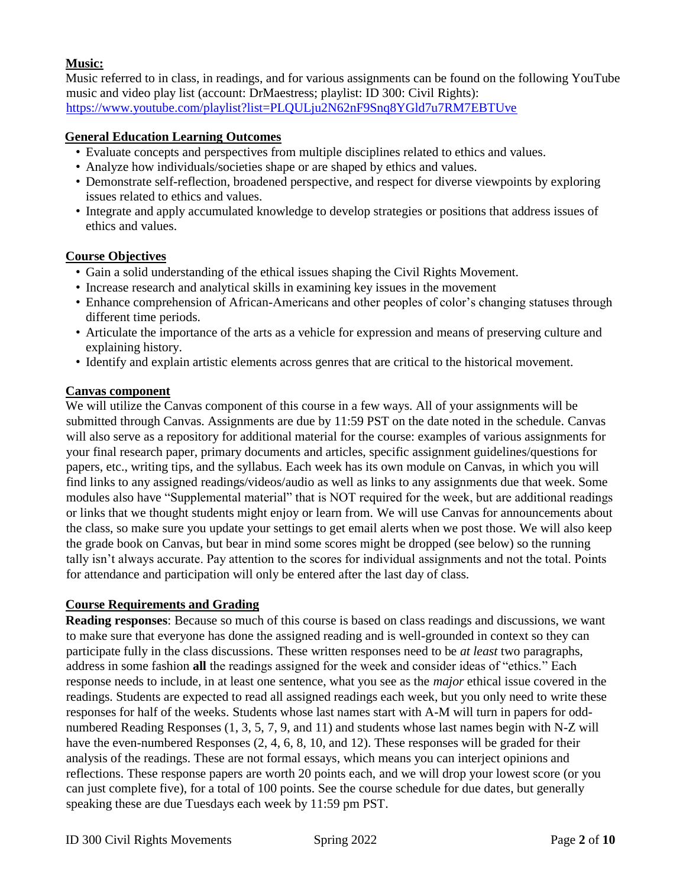## **Music:**

Music referred to in class, in readings, and for various assignments can be found on the following YouTube music and video play list (account: DrMaestress; playlist: ID 300: Civil Rights): <https://www.youtube.com/playlist?list=PLQULju2N62nF9Snq8YGld7u7RM7EBTUve>

## **General Education Learning Outcomes**

- Evaluate concepts and perspectives from multiple disciplines related to ethics and values.
- Analyze how individuals/societies shape or are shaped by ethics and values.
- Demonstrate self-reflection, broadened perspective, and respect for diverse viewpoints by exploring issues related to ethics and values.
- Integrate and apply accumulated knowledge to develop strategies or positions that address issues of ethics and values.

## **Course Objectives**

- Gain a solid understanding of the ethical issues shaping the Civil Rights Movement.
- Increase research and analytical skills in examining key issues in the movement
- Enhance comprehension of African-Americans and other peoples of color's changing statuses through different time periods.
- Articulate the importance of the arts as a vehicle for expression and means of preserving culture and explaining history.
- Identify and explain artistic elements across genres that are critical to the historical movement.

## **Canvas component**

We will utilize the Canvas component of this course in a few ways. All of your assignments will be submitted through Canvas. Assignments are due by 11:59 PST on the date noted in the schedule. Canvas will also serve as a repository for additional material for the course: examples of various assignments for your final research paper, primary documents and articles, specific assignment guidelines/questions for papers, etc., writing tips, and the syllabus. Each week has its own module on Canvas, in which you will find links to any assigned readings/videos/audio as well as links to any assignments due that week. Some modules also have "Supplemental material" that is NOT required for the week, but are additional readings or links that we thought students might enjoy or learn from. We will use Canvas for announcements about the class, so make sure you update your settings to get email alerts when we post those. We will also keep the grade book on Canvas, but bear in mind some scores might be dropped (see below) so the running tally isn't always accurate. Pay attention to the scores for individual assignments and not the total. Points for attendance and participation will only be entered after the last day of class.

## **Course Requirements and Grading**

**Reading responses**: Because so much of this course is based on class readings and discussions, we want to make sure that everyone has done the assigned reading and is well-grounded in context so they can participate fully in the class discussions. These written responses need to be *at least* two paragraphs, address in some fashion **all** the readings assigned for the week and consider ideas of "ethics." Each response needs to include, in at least one sentence, what you see as the *major* ethical issue covered in the readings. Students are expected to read all assigned readings each week, but you only need to write these responses for half of the weeks. Students whose last names start with A-M will turn in papers for oddnumbered Reading Responses (1, 3, 5, 7, 9, and 11) and students whose last names begin with N-Z will have the even-numbered Responses  $(2, 4, 6, 8, 10, \text{ and } 12)$ . These responses will be graded for their analysis of the readings. These are not formal essays, which means you can interject opinions and reflections. These response papers are worth 20 points each, and we will drop your lowest score (or you can just complete five), for a total of 100 points. See the course schedule for due dates, but generally speaking these are due Tuesdays each week by 11:59 pm PST.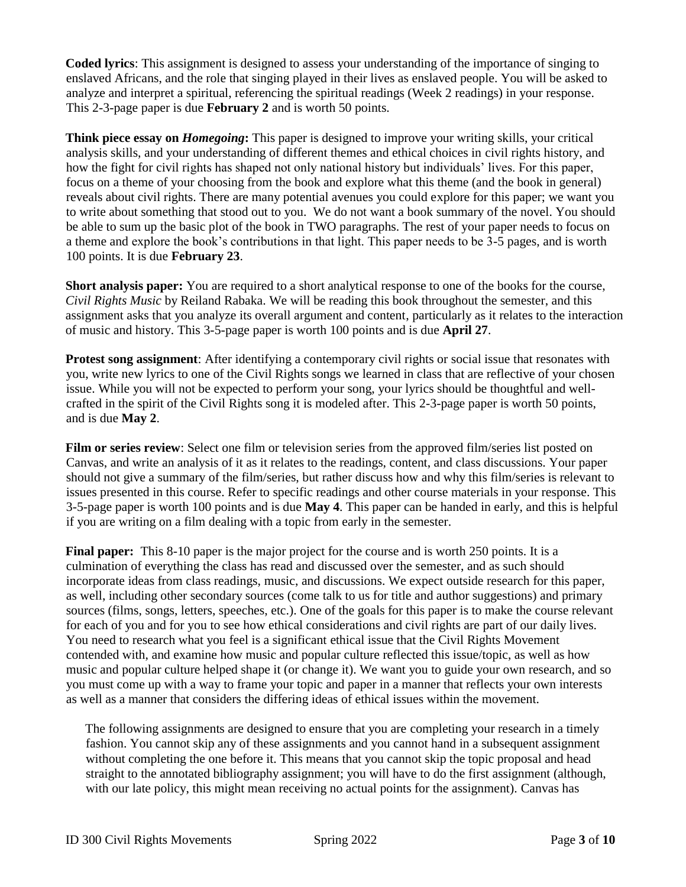**Coded lyrics**: This assignment is designed to assess your understanding of the importance of singing to enslaved Africans, and the role that singing played in their lives as enslaved people. You will be asked to analyze and interpret a spiritual, referencing the spiritual readings (Week 2 readings) in your response. This 2-3-page paper is due **February 2** and is worth 50 points.

**Think piece essay on** *Homegoing***:** This paper is designed to improve your writing skills, your critical analysis skills, and your understanding of different themes and ethical choices in civil rights history, and how the fight for civil rights has shaped not only national history but individuals' lives. For this paper, focus on a theme of your choosing from the book and explore what this theme (and the book in general) reveals about civil rights. There are many potential avenues you could explore for this paper; we want you to write about something that stood out to you. We do not want a book summary of the novel. You should be able to sum up the basic plot of the book in TWO paragraphs. The rest of your paper needs to focus on a theme and explore the book's contributions in that light. This paper needs to be 3-5 pages, and is worth 100 points. It is due **February 23**.

**Short analysis paper:** You are required to a short analytical response to one of the books for the course, *Civil Rights Music* by Reiland Rabaka. We will be reading this book throughout the semester, and this assignment asks that you analyze its overall argument and content, particularly as it relates to the interaction of music and history. This 3-5-page paper is worth 100 points and is due **April 27**.

**Protest song assignment**: After identifying a contemporary civil rights or social issue that resonates with you, write new lyrics to one of the Civil Rights songs we learned in class that are reflective of your chosen issue. While you will not be expected to perform your song, your lyrics should be thoughtful and wellcrafted in the spirit of the Civil Rights song it is modeled after. This 2-3-page paper is worth 50 points, and is due **May 2**.

**Film or series review**: Select one film or television series from the approved film/series list posted on Canvas, and write an analysis of it as it relates to the readings, content, and class discussions. Your paper should not give a summary of the film/series, but rather discuss how and why this film/series is relevant to issues presented in this course. Refer to specific readings and other course materials in your response. This 3-5-page paper is worth 100 points and is due **May 4**. This paper can be handed in early, and this is helpful if you are writing on a film dealing with a topic from early in the semester.

**Final paper:** This 8-10 paper is the major project for the course and is worth 250 points. It is a culmination of everything the class has read and discussed over the semester, and as such should incorporate ideas from class readings, music, and discussions. We expect outside research for this paper, as well, including other secondary sources (come talk to us for title and author suggestions) and primary sources (films, songs, letters, speeches, etc.). One of the goals for this paper is to make the course relevant for each of you and for you to see how ethical considerations and civil rights are part of our daily lives. You need to research what you feel is a significant ethical issue that the Civil Rights Movement contended with, and examine how music and popular culture reflected this issue/topic, as well as how music and popular culture helped shape it (or change it). We want you to guide your own research, and so you must come up with a way to frame your topic and paper in a manner that reflects your own interests as well as a manner that considers the differing ideas of ethical issues within the movement.

The following assignments are designed to ensure that you are completing your research in a timely fashion. You cannot skip any of these assignments and you cannot hand in a subsequent assignment without completing the one before it. This means that you cannot skip the topic proposal and head straight to the annotated bibliography assignment; you will have to do the first assignment (although, with our late policy, this might mean receiving no actual points for the assignment). Canvas has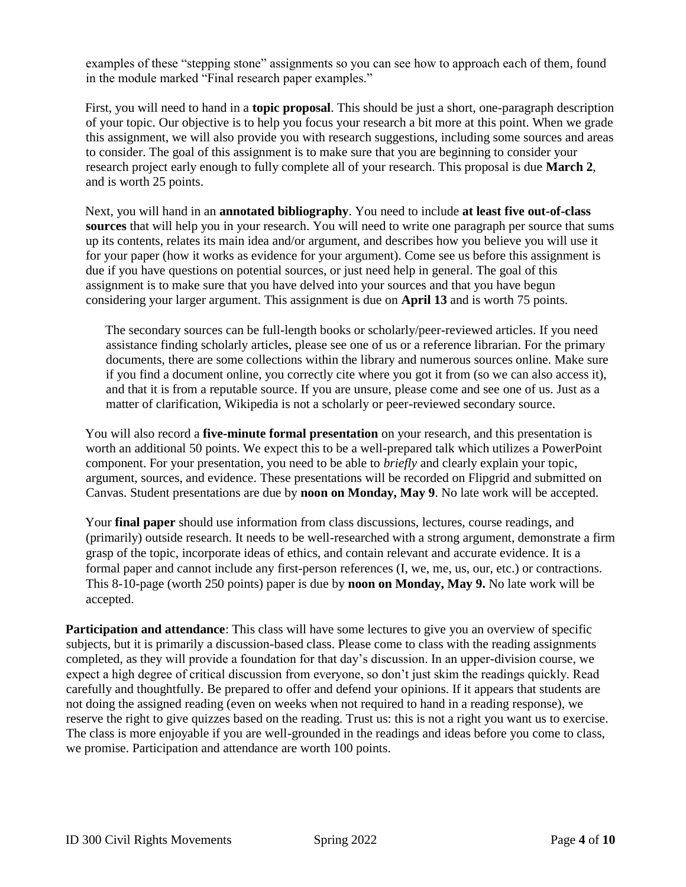examples of these "stepping stone" assignments so you can see how to approach each of them, found in the module marked "Final research paper examples."

First, you will need to hand in a **topic proposal**. This should be just a short, one-paragraph description of your topic. Our objective is to help you focus your research a bit more at this point. When we grade this assignment, we will also provide you with research suggestions, including some sources and areas to consider. The goal of this assignment is to make sure that you are beginning to consider your research project early enough to fully complete all of your research. This proposal is due **March 2**, and is worth 25 points.

Next, you will hand in an **annotated bibliography**. You need to include **at least five out-of-class sources** that will help you in your research. You will need to write one paragraph per source that sums up its contents, relates its main idea and/or argument, and describes how you believe you will use it for your paper (how it works as evidence for your argument). Come see us before this assignment is due if you have questions on potential sources, or just need help in general. The goal of this assignment is to make sure that you have delved into your sources and that you have begun considering your larger argument. This assignment is due on **April 13** and is worth 75 points.

The secondary sources can be full-length books or scholarly/peer-reviewed articles. If you need assistance finding scholarly articles, please see one of us or a reference librarian. For the primary documents, there are some collections within the library and numerous sources online. Make sure if you find a document online, you correctly cite where you got it from (so we can also access it), and that it is from a reputable source. If you are unsure, please come and see one of us. Just as a matter of clarification, Wikipedia is not a scholarly or peer-reviewed secondary source.

You will also record a **five-minute formal presentation** on your research, and this presentation is worth an additional 50 points. We expect this to be a well-prepared talk which utilizes a PowerPoint component. For your presentation, you need to be able to *briefly* and clearly explain your topic, argument, sources, and evidence. These presentations will be recorded on Flipgrid and submitted on Canvas. Student presentations are due by **noon on Monday, May 9**. No late work will be accepted.

Your **final paper** should use information from class discussions, lectures, course readings, and (primarily) outside research. It needs to be well-researched with a strong argument, demonstrate a firm grasp of the topic, incorporate ideas of ethics, and contain relevant and accurate evidence. It is a formal paper and cannot include any first-person references (I, we, me, us, our, etc.) or contractions. This 8-10-page (worth 250 points) paper is due by **noon on Monday, May 9.** No late work will be accepted.

**Participation and attendance:** This class will have some lectures to give you an overview of specific subjects, but it is primarily a discussion-based class. Please come to class with the reading assignments completed, as they will provide a foundation for that day's discussion. In an upper-division course, we expect a high degree of critical discussion from everyone, so don't just skim the readings quickly. Read carefully and thoughtfully. Be prepared to offer and defend your opinions. If it appears that students are not doing the assigned reading (even on weeks when not required to hand in a reading response), we reserve the right to give quizzes based on the reading. Trust us: this is not a right you want us to exercise. The class is more enjoyable if you are well-grounded in the readings and ideas before you come to class, we promise. Participation and attendance are worth 100 points.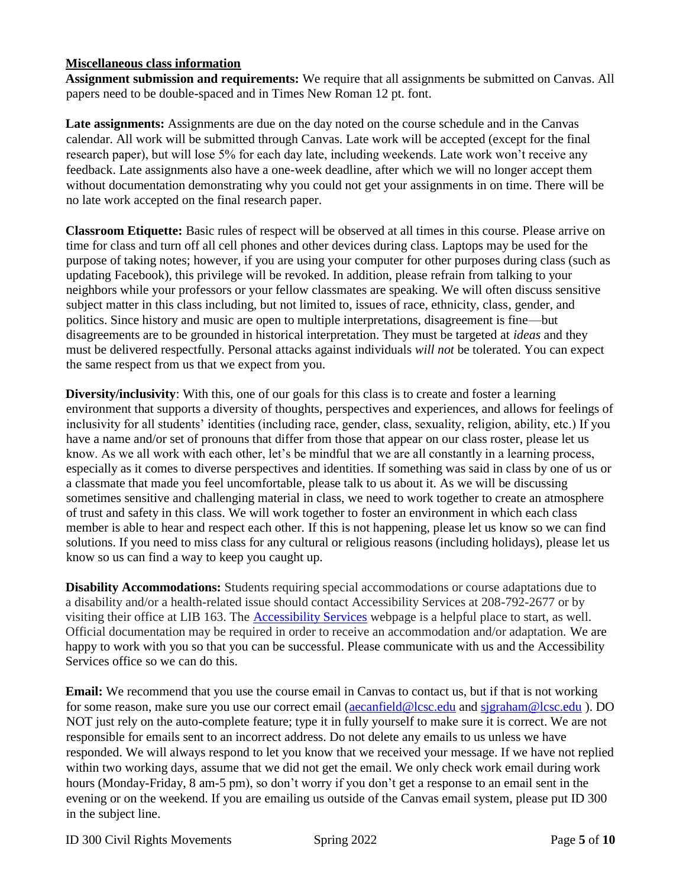## **Miscellaneous class information**

**Assignment submission and requirements:** We require that all assignments be submitted on Canvas. All papers need to be double-spaced and in Times New Roman 12 pt. font.

Late assignments: Assignments are due on the day noted on the course schedule and in the Canvas calendar. All work will be submitted through Canvas. Late work will be accepted (except for the final research paper), but will lose 5% for each day late, including weekends. Late work won't receive any feedback. Late assignments also have a one-week deadline, after which we will no longer accept them without documentation demonstrating why you could not get your assignments in on time. There will be no late work accepted on the final research paper.

**Classroom Etiquette:** Basic rules of respect will be observed at all times in this course. Please arrive on time for class and turn off all cell phones and other devices during class. Laptops may be used for the purpose of taking notes; however, if you are using your computer for other purposes during class (such as updating Facebook), this privilege will be revoked. In addition, please refrain from talking to your neighbors while your professors or your fellow classmates are speaking. We will often discuss sensitive subject matter in this class including, but not limited to, issues of race, ethnicity, class, gender, and politics. Since history and music are open to multiple interpretations, disagreement is fine—but disagreements are to be grounded in historical interpretation. They must be targeted at *ideas* and they must be delivered respectfully. Personal attacks against individuals *will not* be tolerated. You can expect the same respect from us that we expect from you.

**Diversity/inclusivity**: With this, one of our goals for this class is to create and foster a learning environment that supports a diversity of thoughts, perspectives and experiences, and allows for feelings of inclusivity for all students' identities (including race, gender, class, sexuality, religion, ability, etc.) If you have a name and/or set of pronouns that differ from those that appear on our class roster, please let us know. As we all work with each other, let's be mindful that we are all constantly in a learning process, especially as it comes to diverse perspectives and identities. If something was said in class by one of us or a classmate that made you feel uncomfortable, please talk to us about it. As we will be discussing sometimes sensitive and challenging material in class, we need to work together to create an atmosphere of trust and safety in this class. We will work together to foster an environment in which each class member is able to hear and respect each other. If this is not happening, please let us know so we can find solutions. If you need to miss class for any cultural or religious reasons (including holidays), please let us know so us can find a way to keep you caught up.

**Disability Accommodations:** Students requiring special accommodations or course adaptations due to a disability and/or a health-related issue should contact Accessibility Services at 208-792-2677 or by visiting their office at LIB 163. The [Accessibility Services](https://www.lcsc.edu/accessibility-services/student-information) webpage is a helpful place to start, as well. Official documentation may be required in order to receive an accommodation and/or adaptation. We are happy to work with you so that you can be successful. Please communicate with us and the Accessibility Services office so we can do this.

**Email:** We recommend that you use the course email in Canvas to contact us, but if that is not working for some reason, make sure you use our correct email [\(aecanfield@lcsc.edu](mailto:aecanfield@lcsc.edu) and [sjgraham@lcsc.edu](mailto:sjgraham@lcsc.edu)). DO NOT just rely on the auto-complete feature; type it in fully yourself to make sure it is correct. We are not responsible for emails sent to an incorrect address. Do not delete any emails to us unless we have responded. We will always respond to let you know that we received your message. If we have not replied within two working days, assume that we did not get the email. We only check work email during work hours (Monday-Friday, 8 am-5 pm), so don't worry if you don't get a response to an email sent in the evening or on the weekend. If you are emailing us outside of the Canvas email system, please put ID 300 in the subject line.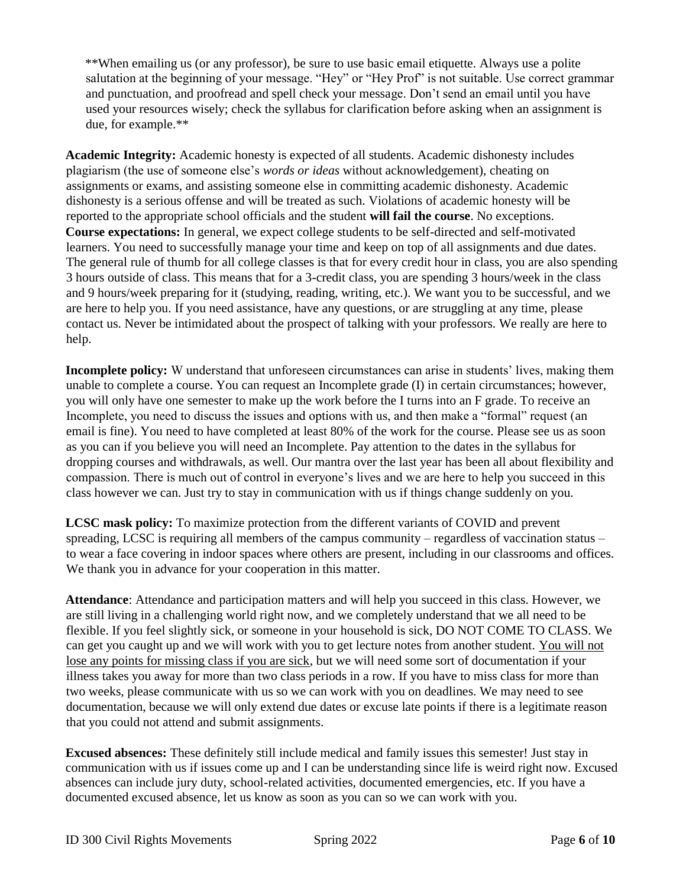\*\*When emailing us (or any professor), be sure to use basic email etiquette. Always use a polite salutation at the beginning of your message. "Hey" or "Hey Prof" is not suitable. Use correct grammar and punctuation, and proofread and spell check your message. Don't send an email until you have used your resources wisely; check the syllabus for clarification before asking when an assignment is due, for example.\*\*

**Academic Integrity:** Academic honesty is expected of all students. Academic dishonesty includes plagiarism (the use of someone else's *words or ideas* without acknowledgement), cheating on assignments or exams, and assisting someone else in committing academic dishonesty. Academic dishonesty is a serious offense and will be treated as such. Violations of academic honesty will be reported to the appropriate school officials and the student **will fail the course**. No exceptions. **Course expectations:** In general, we expect college students to be self-directed and self-motivated learners. You need to successfully manage your time and keep on top of all assignments and due dates. The general rule of thumb for all college classes is that for every credit hour in class, you are also spending 3 hours outside of class. This means that for a 3-credit class, you are spending 3 hours/week in the class and 9 hours/week preparing for it (studying, reading, writing, etc.). We want you to be successful, and we are here to help you. If you need assistance, have any questions, or are struggling at any time, please contact us. Never be intimidated about the prospect of talking with your professors. We really are here to help.

**Incomplete policy:** W understand that unforeseen circumstances can arise in students' lives, making them unable to complete a course. You can request an Incomplete grade (I) in certain circumstances; however, you will only have one semester to make up the work before the I turns into an F grade. To receive an Incomplete, you need to discuss the issues and options with us, and then make a "formal" request (an email is fine). You need to have completed at least 80% of the work for the course. Please see us as soon as you can if you believe you will need an Incomplete. Pay attention to the dates in the syllabus for dropping courses and withdrawals, as well. Our mantra over the last year has been all about flexibility and compassion. There is much out of control in everyone's lives and we are here to help you succeed in this class however we can. Just try to stay in communication with us if things change suddenly on you.

**LCSC mask policy:** To maximize protection from the different variants of COVID and prevent spreading, LCSC is requiring all members of the campus community – regardless of vaccination status – to wear a face covering in indoor spaces where others are present, including in our classrooms and offices. We thank you in advance for your cooperation in this matter.

**Attendance**: Attendance and participation matters and will help you succeed in this class. However, we are still living in a challenging world right now, and we completely understand that we all need to be flexible. If you feel slightly sick, or someone in your household is sick, DO NOT COME TO CLASS. We can get you caught up and we will work with you to get lecture notes from another student. You will not lose any points for missing class if you are sick, but we will need some sort of documentation if your illness takes you away for more than two class periods in a row. If you have to miss class for more than two weeks, please communicate with us so we can work with you on deadlines. We may need to see documentation, because we will only extend due dates or excuse late points if there is a legitimate reason that you could not attend and submit assignments.

**Excused absences:** These definitely still include medical and family issues this semester! Just stay in communication with us if issues come up and I can be understanding since life is weird right now. Excused absences can include jury duty, school-related activities, documented emergencies, etc. If you have a documented excused absence, let us know as soon as you can so we can work with you.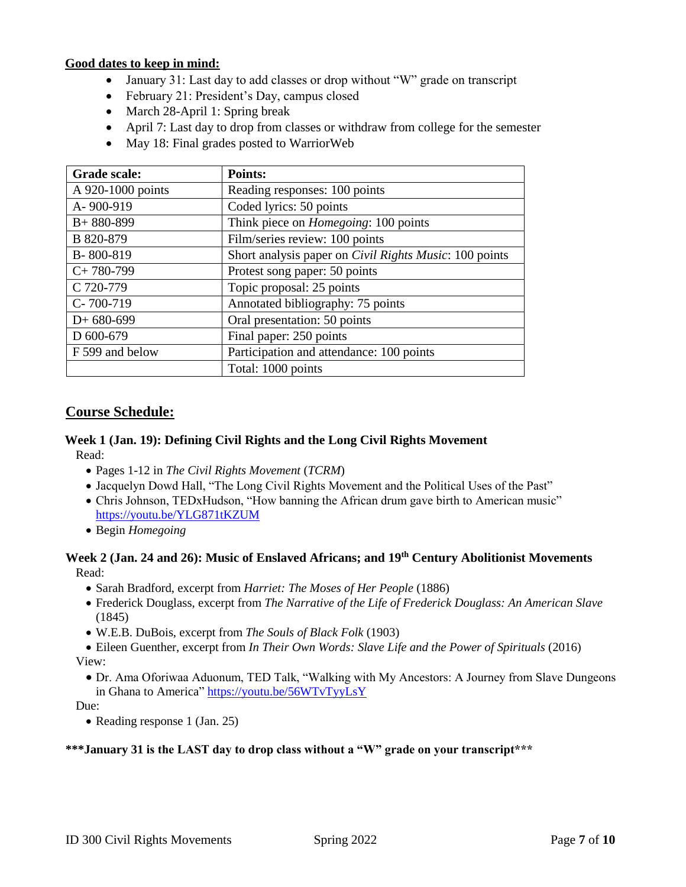#### **Good dates to keep in mind:**

- January 31: Last day to add classes or drop without "W" grade on transcript
- February 21: President's Day, campus closed
- March 28-April 1: Spring break
- April 7: Last day to drop from classes or withdraw from college for the semester
- May 18: Final grades posted to WarriorWeb

| Grade scale:      | Points:                                                        |
|-------------------|----------------------------------------------------------------|
| A 920-1000 points | Reading responses: 100 points                                  |
| A-900-919         | Coded lyrics: 50 points                                        |
| $B+880-899$       | Think piece on <i>Homegoing</i> : 100 points                   |
| B 820-879         | Film/series review: 100 points                                 |
| B-800-819         | Short analysis paper on <i>Civil Rights Music</i> : 100 points |
| $C+780-799$       | Protest song paper: 50 points                                  |
| C 720-779         | Topic proposal: 25 points                                      |
| $C-700-719$       | Annotated bibliography: 75 points                              |
| $D+680-699$       | Oral presentation: 50 points                                   |
| D 600-679         | Final paper: 250 points                                        |
| F 599 and below   | Participation and attendance: 100 points                       |
|                   | Total: 1000 points                                             |

## **Course Schedule:**

# **Week 1 (Jan. 19): Defining Civil Rights and the Long Civil Rights Movement**

Read:

- Pages 1-12 in *The Civil Rights Movement* (*TCRM*)
- Jacquelyn Dowd Hall, "The Long Civil Rights Movement and the Political Uses of the Past"
- Chris Johnson, TEDxHudson, "How banning the African drum gave birth to American music" <https://youtu.be/YLG871tKZUM>
- Begin *Homegoing*

#### **Week 2 (Jan. 24 and 26): Music of Enslaved Africans; and 19th Century Abolitionist Movements** Read:

- Sarah Bradford, excerpt from *Harriet: The Moses of Her People* (1886)
- Frederick Douglass, excerpt from *The Narrative of the Life of Frederick Douglass: An American Slave* (1845)
- W.E.B. DuBois, excerpt from *The Souls of Black Folk* (1903)
- Eileen Guenther, excerpt from *In Their Own Words: Slave Life and the Power of Spirituals* (2016) View:
	- Dr. Ama Oforiwaa Aduonum, TED Talk, "Walking with My Ancestors: A Journey from Slave Dungeons in Ghana to America"<https://youtu.be/56WTvTyyLsY>

Due:

• Reading response 1 (Jan. 25)

## **\*\*\*January 31 is the LAST day to drop class without a "W" grade on your transcript\*\*\***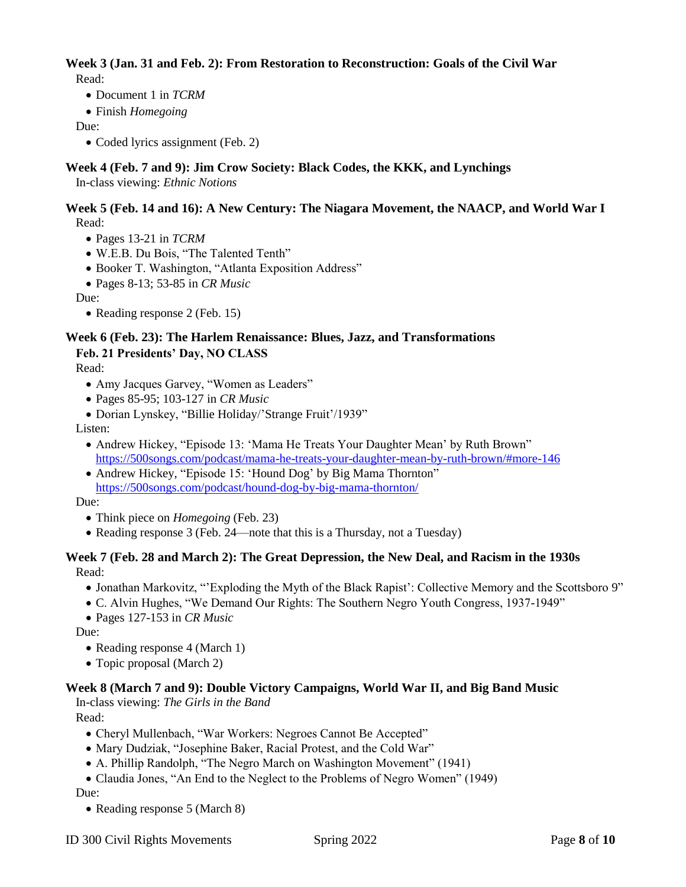#### **Week 3 (Jan. 31 and Feb. 2): From Restoration to Reconstruction: Goals of the Civil War**  Read:

- Document 1 in *TCRM*
- Finish *Homegoing*

#### Due:

• Coded lyrics assignment (Feb. 2)

## **Week 4 (Feb. 7 and 9): Jim Crow Society: Black Codes, the KKK, and Lynchings**

In-class viewing: *Ethnic Notions*

#### **Week 5 (Feb. 14 and 16): A New Century: The Niagara Movement, the NAACP, and World War I** Read:

- Pages 13-21 in *TCRM*
- W.E.B. Du Bois, "The Talented Tenth"
- Booker T. Washington, "Atlanta Exposition Address"
- Pages 8-13; 53-85 in *CR Music*

Due:

• Reading response 2 (Feb. 15)

## **Week 6 (Feb. 23): The Harlem Renaissance: Blues, Jazz, and Transformations Feb. 21 Presidents' Day, NO CLASS**

Read:

- Amy Jacques Garvey, "Women as Leaders"
- Pages 85-95; 103-127 in *CR Music*
- Dorian Lynskey, "Billie Holiday/'Strange Fruit'/1939"

#### Listen:

- Andrew Hickey, "Episode 13: 'Mama He Treats Your Daughter Mean' by Ruth Brown" <https://500songs.com/podcast/mama-he-treats-your-daughter-mean-by-ruth-brown/#more-146>
- Andrew Hickey, "Episode 15: 'Hound Dog' by Big Mama Thornton" <https://500songs.com/podcast/hound-dog-by-big-mama-thornton/>

#### Due:

- Think piece on *Homegoing* (Feb. 23)
- Reading response 3 (Feb. 24—note that this is a Thursday, not a Tuesday)

#### **Week 7 (Feb. 28 and March 2): The Great Depression, the New Deal, and Racism in the 1930s** Read:

- Jonathan Markovitz, "'Exploding the Myth of the Black Rapist': Collective Memory and the Scottsboro 9"
- C. Alvin Hughes, "We Demand Our Rights: The Southern Negro Youth Congress, 1937-1949"
- Pages 127-153 in *CR Music*

Due:

- Reading response 4 (March 1)
- Topic proposal (March 2)

## **Week 8 (March 7 and 9): Double Victory Campaigns, World War II, and Big Band Music**

In-class viewing: *The Girls in the Band*

Read:

- Cheryl Mullenbach, "War Workers: Negroes Cannot Be Accepted"
- Mary Dudziak, "Josephine Baker, Racial Protest, and the Cold War"
- A. Phillip Randolph, "The Negro March on Washington Movement" (1941)
- Claudia Jones, "An End to the Neglect to the Problems of Negro Women" (1949)

Due:

• Reading response 5 (March 8)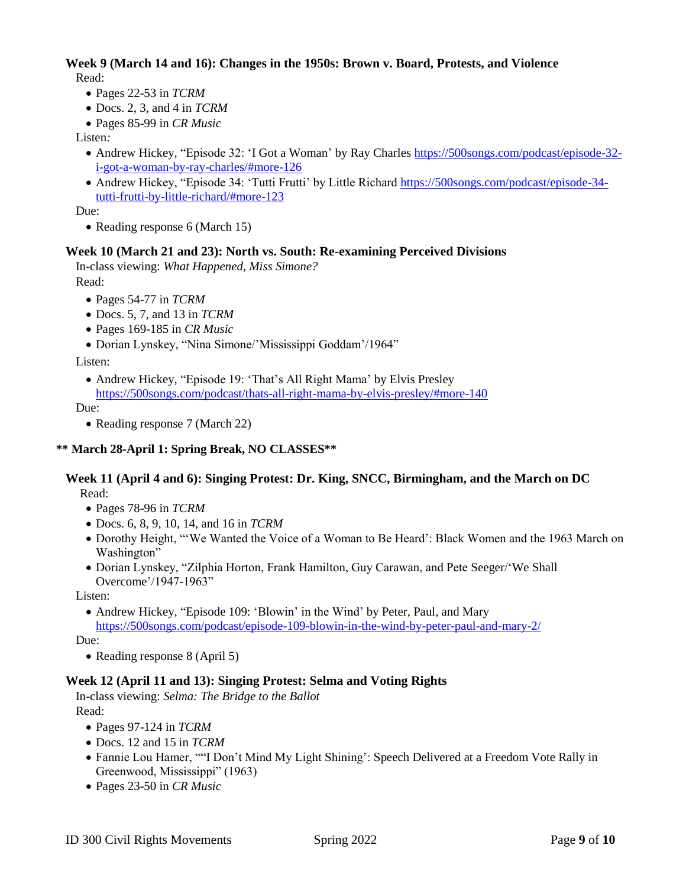#### **Week 9 (March 14 and 16): Changes in the 1950s: Brown v. Board, Protests, and Violence** Read:

- Pages 22-53 in *TCRM*
- Docs. 2, 3, and 4 in *TCRM*
- Pages 85-99 in *CR Music*

Listen*:* 

- Andrew Hickey, "Episode 32: 'I Got a Woman' by Ray Charles [https://500songs.com/podcast/episode-32](https://500songs.com/podcast/episode-32-i-got-a-woman-by-ray-charles/#more-126) [i-got-a-woman-by-ray-charles/#more-126](https://500songs.com/podcast/episode-32-i-got-a-woman-by-ray-charles/#more-126)
- Andrew Hickey, "Episode 34: 'Tutti Frutti' by Little Richard [https://500songs.com/podcast/episode-34](https://500songs.com/podcast/episode-34-tutti-frutti-by-little-richard/#more-123) [tutti-frutti-by-little-richard/#more-123](https://500songs.com/podcast/episode-34-tutti-frutti-by-little-richard/#more-123)

Due:

• Reading response 6 (March 15)

## **Week 10 (March 21 and 23): North vs. South: Re-examining Perceived Divisions**

In-class viewing: *What Happened, Miss Simone?*  Read:

- Pages 54-77 in *TCRM*
- Docs. 5, 7, and 13 in *TCRM*
- Pages 169-185 in *CR Music*
- Dorian Lynskey, "Nina Simone/'Mississippi Goddam'/1964"

Listen:

• Andrew Hickey, "Episode 19: 'That's All Right Mama' by Elvis Presley <https://500songs.com/podcast/thats-all-right-mama-by-elvis-presley/#more-140>

Due:

• Reading response 7 (March 22)

# **\*\* March 28-April 1: Spring Break, NO CLASSES\*\***

#### **Week 11 (April 4 and 6): Singing Protest: Dr. King, SNCC, Birmingham, and the March on DC** Read:

- Pages 78-96 in *TCRM*
- Docs. 6, 8, 9, 10, 14, and 16 in *TCRM*
- Dorothy Height, "'We Wanted the Voice of a Woman to Be Heard': Black Women and the 1963 March on Washington"
- Dorian Lynskey, "Zilphia Horton, Frank Hamilton, Guy Carawan, and Pete Seeger/'We Shall Overcome'/1947-1963"

Listen:

• Andrew Hickey, "Episode 109: 'Blowin' in the Wind' by Peter, Paul, and Mary <https://500songs.com/podcast/episode-109-blowin-in-the-wind-by-peter-paul-and-mary-2/>

Due:

• Reading response 8 (April 5)

## **Week 12 (April 11 and 13): Singing Protest: Selma and Voting Rights**

In-class viewing: *Selma: The Bridge to the Ballot* Read:

- Pages 97-124 in *TCRM*
- Docs. 12 and 15 in *TCRM*
- Fannie Lou Hamer, ""I Don't Mind My Light Shining': Speech Delivered at a Freedom Vote Rally in Greenwood, Mississippi" (1963)
- Pages 23-50 in *CR Music*